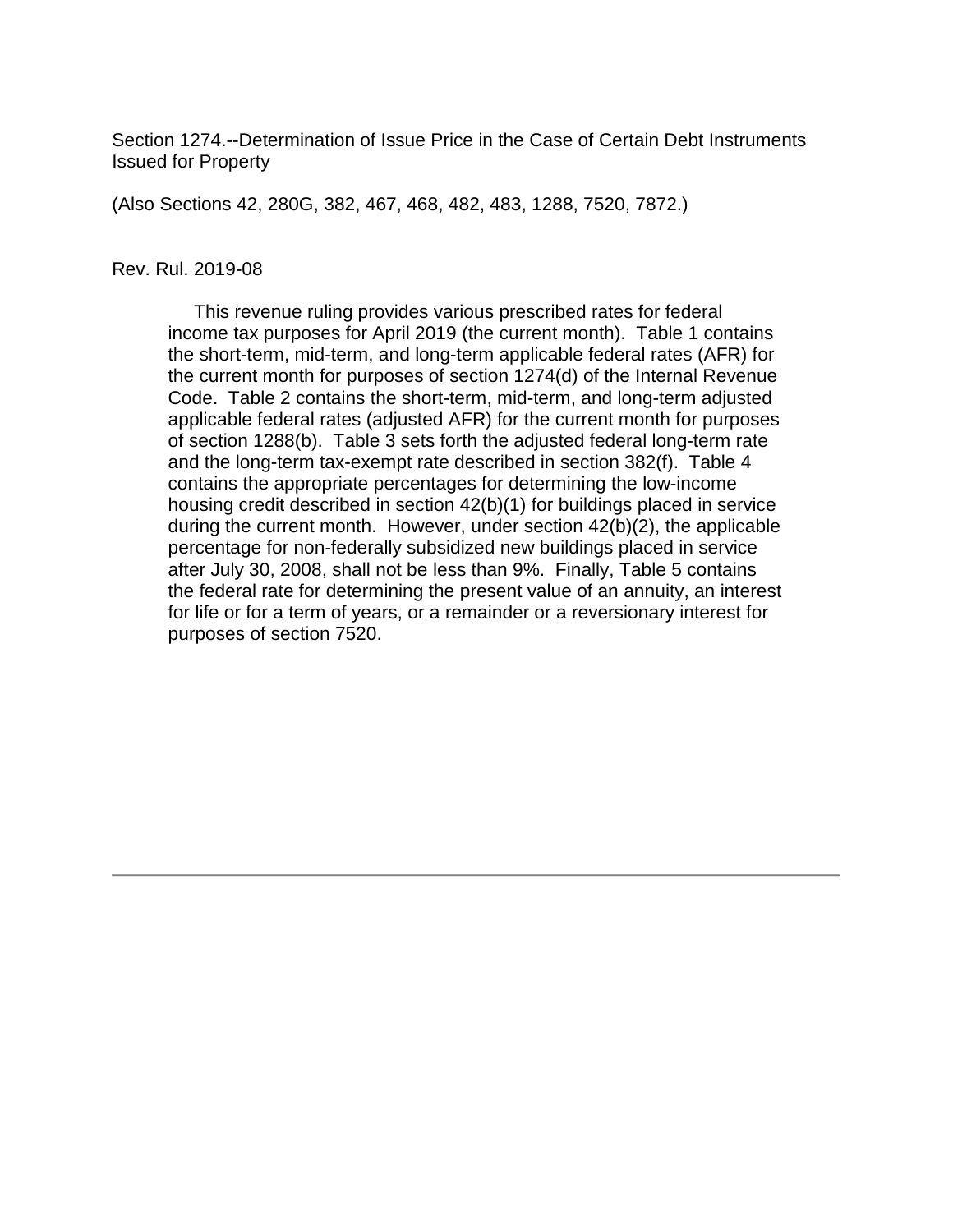Section 1274.--Determination of Issue Price in the Case of Certain Debt Instruments Issued for Property

(Also Sections 42, 280G, 382, 467, 468, 482, 483, 1288, 7520, 7872.)

#### Rev. Rul. 2019-08

 This revenue ruling provides various prescribed rates for federal income tax purposes for April 2019 (the current month). Table 1 contains the short-term, mid-term, and long-term applicable federal rates (AFR) for the current month for purposes of section 1274(d) of the Internal Revenue Code. Table 2 contains the short-term, mid-term, and long-term adjusted applicable federal rates (adjusted AFR) for the current month for purposes of section 1288(b). Table 3 sets forth the adjusted federal long-term rate and the long-term tax-exempt rate described in section 382(f). Table 4 contains the appropriate percentages for determining the low-income housing credit described in section 42(b)(1) for buildings placed in service during the current month. However, under section 42(b)(2), the applicable percentage for non-federally subsidized new buildings placed in service after July 30, 2008, shall not be less than 9%. Finally, Table 5 contains the federal rate for determining the present value of an annuity, an interest for life or for a term of years, or a remainder or a reversionary interest for purposes of section 7520.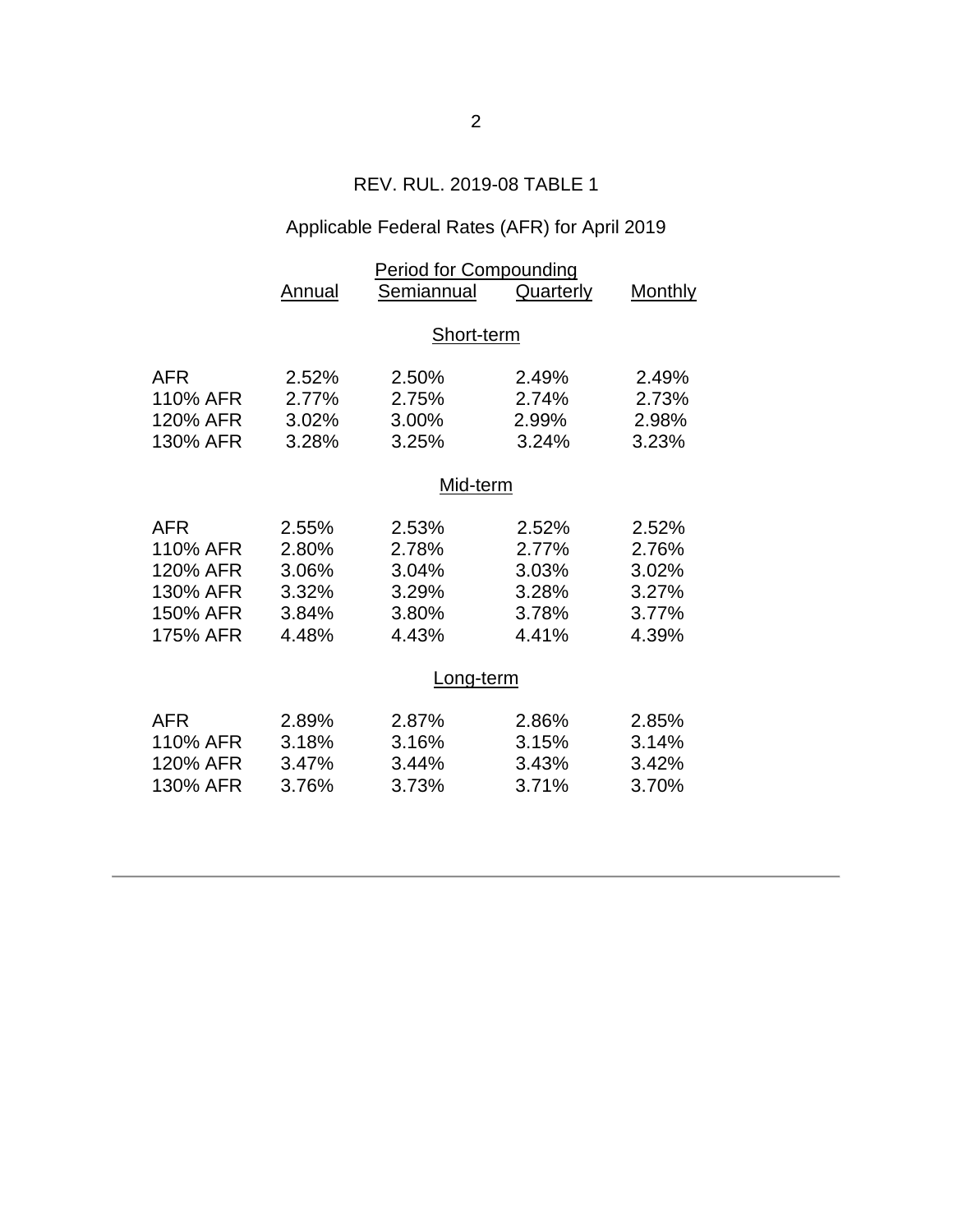### REV. RUL. 2019-08 TABLE 1

# Applicable Federal Rates (AFR) for April 2019

|                                                                 | <b>Period for Compounding</b>                      |                                                    |                                                    |                                                    |  |  |
|-----------------------------------------------------------------|----------------------------------------------------|----------------------------------------------------|----------------------------------------------------|----------------------------------------------------|--|--|
|                                                                 | Annual                                             | Semiannual                                         | <b>Quarterly</b>                                   | <b>Monthly</b>                                     |  |  |
|                                                                 | Short-term                                         |                                                    |                                                    |                                                    |  |  |
| AFR<br>110% AFR<br>120% AFR<br>130% AFR                         | 2.52%<br>2.77%<br>3.02%<br>3.28%                   | 2.50%<br>2.75%<br>3.00%<br>3.25%                   | 2.49%<br>2.74%<br>2.99%<br>3.24%                   | 2.49%<br>2.73%<br>2.98%<br>3.23%                   |  |  |
|                                                                 |                                                    | Mid-term                                           |                                                    |                                                    |  |  |
| AFR<br>110% AFR<br>120% AFR<br>130% AFR<br>150% AFR<br>175% AFR | 2.55%<br>2.80%<br>3.06%<br>3.32%<br>3.84%<br>4.48% | 2.53%<br>2.78%<br>3.04%<br>3.29%<br>3.80%<br>4.43% | 2.52%<br>2.77%<br>3.03%<br>3.28%<br>3.78%<br>4.41% | 2.52%<br>2.76%<br>3.02%<br>3.27%<br>3.77%<br>4.39% |  |  |
|                                                                 | Long-term                                          |                                                    |                                                    |                                                    |  |  |
| AFR<br>110% AFR<br>120% AFR<br>130% AFR                         | 2.89%<br>3.18%<br>3.47%<br>3.76%                   | 2.87%<br>3.16%<br>3.44%<br>3.73%                   | 2.86%<br>3.15%<br>3.43%<br>3.71%                   | 2.85%<br>3.14%<br>3.42%<br>3.70%                   |  |  |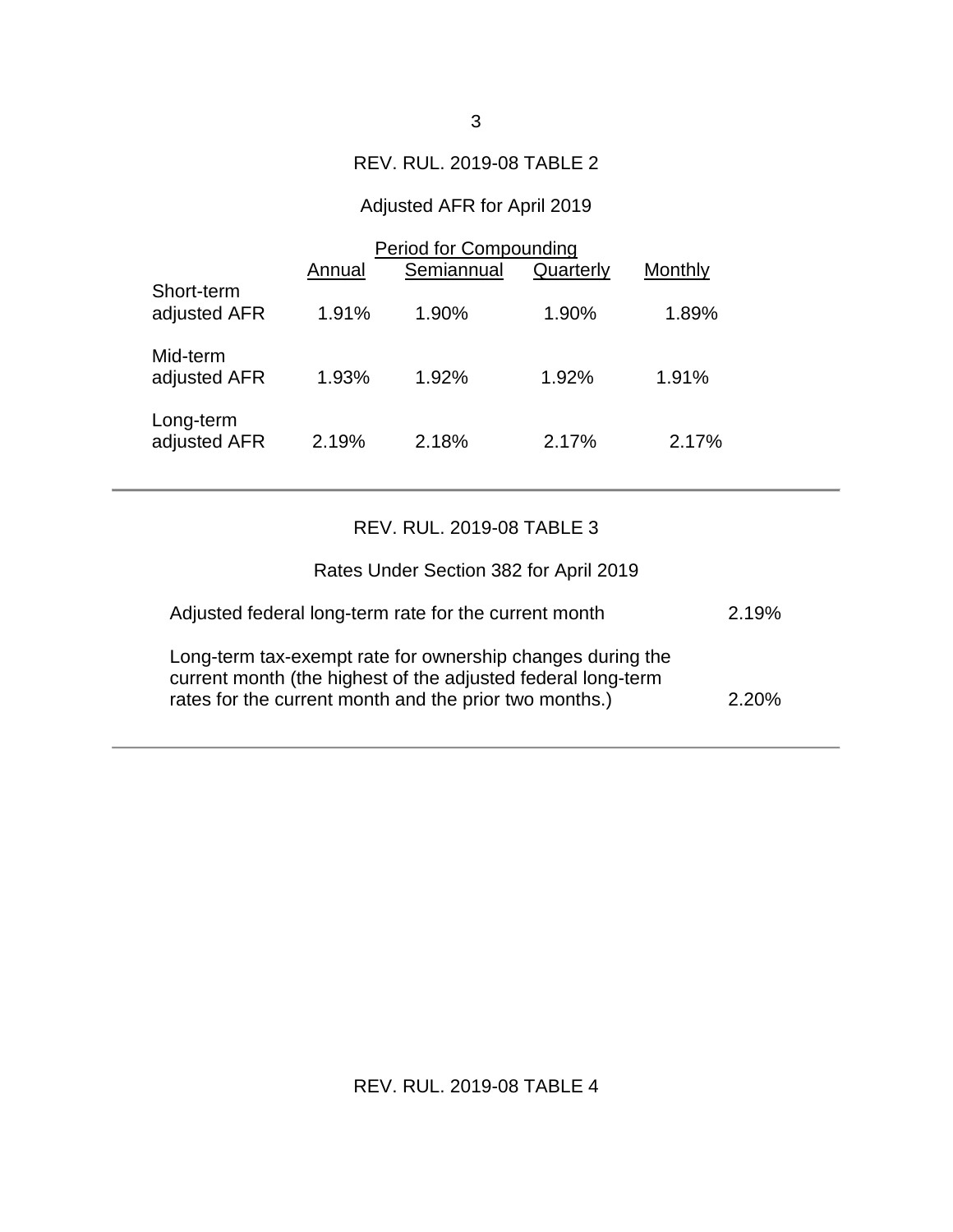#### REV. RUL. 2019-08 TABLE 2

## Adjusted AFR for April 2019

|                            | Period for Compounding |            |           |         |  |
|----------------------------|------------------------|------------|-----------|---------|--|
|                            | Annual                 | Semiannual | Quarterly | Monthly |  |
| Short-term<br>adjusted AFR | 1.91%                  | 1.90%      | $1.90\%$  | 1.89%   |  |
| Mid-term<br>adjusted AFR   | 1.93%                  | 1.92%      | 1.92%     | 1.91%   |  |
| Long-term<br>adjusted AFR  | 2.19%                  | 2.18%      | 2.17%     | 2.17%   |  |

## REV. RUL. 2019-08 TABLE 3

| Rates Under Section 382 for April 2019                                                                                                                                               |          |
|--------------------------------------------------------------------------------------------------------------------------------------------------------------------------------------|----------|
| Adjusted federal long-term rate for the current month                                                                                                                                | 2.19%    |
| Long-term tax-exempt rate for ownership changes during the<br>current month (the highest of the adjusted federal long-term<br>rates for the current month and the prior two months.) | $2.20\%$ |

## REV. RUL. 2019-08 TABLE 4